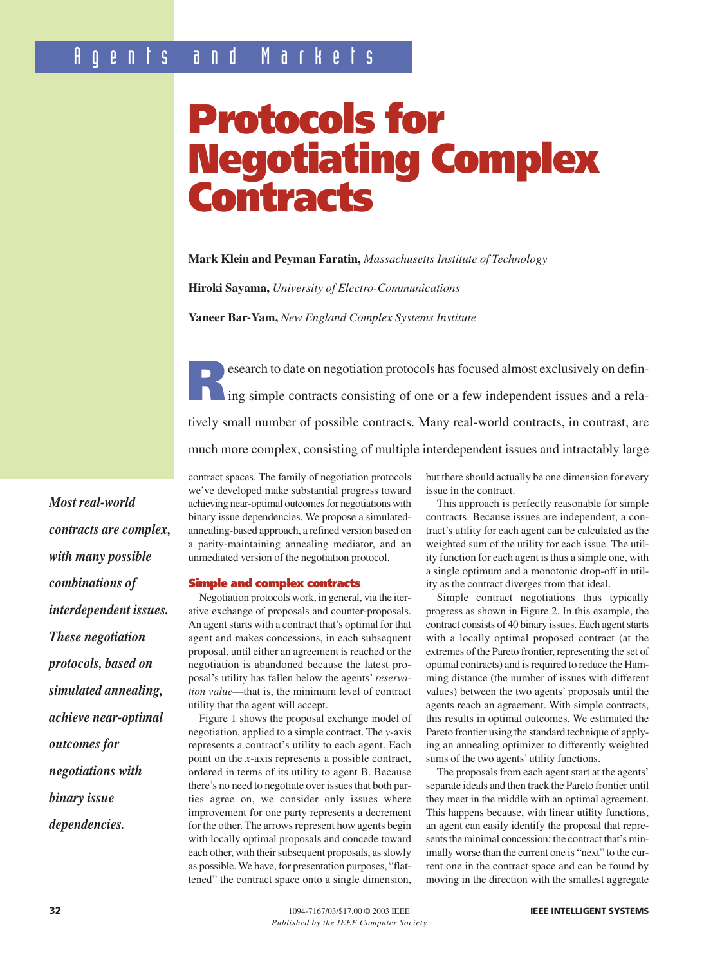# **Protocols for Negotiating Complex Contracts**

**Mark Klein and Peyman Faratin,** *Massachusetts Institute of Technology* 

**Hiroki Sayama,** *University of Electro-Communications*

**Yaneer Bar-Yam,** *New England Complex Systems Institute* 

**Research to date on negotiation protocols has focused almost exclusively on defining simple contracts consisting of one or a few independent issues and a rela**tively small number of possible contracts. Many real-world contracts, in contrast, are much more complex, consisting of multiple interdependent issues and intractably large

*Most real-world contracts are complex, with many possible combinations of interdependent issues. These negotiation protocols, based on simulated annealing, achieve near-optimal outcomes for negotiations with binary issue dependencies.*

contract spaces. The family of negotiation protocols we've developed make substantial progress toward achieving near-optimal outcomes for negotiations with binary issue dependencies. We propose a simulatedannealing-based approach, a refined version based on a parity-maintaining annealing mediator, and an unmediated version of the negotiation protocol.

#### **Simple and complex contracts**

Negotiation protocols work, in general, via the iterative exchange of proposals and counter-proposals. An agent starts with a contract that's optimal for that agent and makes concessions, in each subsequent proposal, until either an agreement is reached or the negotiation is abandoned because the latest proposal's utility has fallen below the agents'*reservation value*—that is, the minimum level of contract utility that the agent will accept.

Figure 1 shows the proposal exchange model of negotiation, applied to a simple contract. The *y*-axis represents a contract's utility to each agent. Each point on the *x*-axis represents a possible contract, ordered in terms of its utility to agent B. Because there's no need to negotiate over issues that both parties agree on, we consider only issues where improvement for one party represents a decrement for the other. The arrows represent how agents begin with locally optimal proposals and concede toward each other, with their subsequent proposals, as slowly as possible. We have, for presentation purposes, "flattened" the contract space onto a single dimension, but there should actually be one dimension for every issue in the contract.

This approach is perfectly reasonable for simple contracts. Because issues are independent, a contract's utility for each agent can be calculated as the weighted sum of the utility for each issue. The utility function for each agent is thus a simple one, with a single optimum and a monotonic drop-off in utility as the contract diverges from that ideal.

Simple contract negotiations thus typically progress as shown in Figure 2. In this example, the contract consists of 40 binary issues. Each agent starts with a locally optimal proposed contract (at the extremes of the Pareto frontier, representing the set of optimal contracts) and is required to reduce the Hamming distance (the number of issues with different values) between the two agents' proposals until the agents reach an agreement. With simple contracts, this results in optimal outcomes. We estimated the Pareto frontier using the standard technique of applying an annealing optimizer to differently weighted sums of the two agents' utility functions.

The proposals from each agent start at the agents' separate ideals and then track the Pareto frontier until they meet in the middle with an optimal agreement. This happens because, with linear utility functions, an agent can easily identify the proposal that represents the minimal concession: the contract that's minimally worse than the current one is "next" to the current one in the contract space and can be found by moving in the direction with the smallest aggregate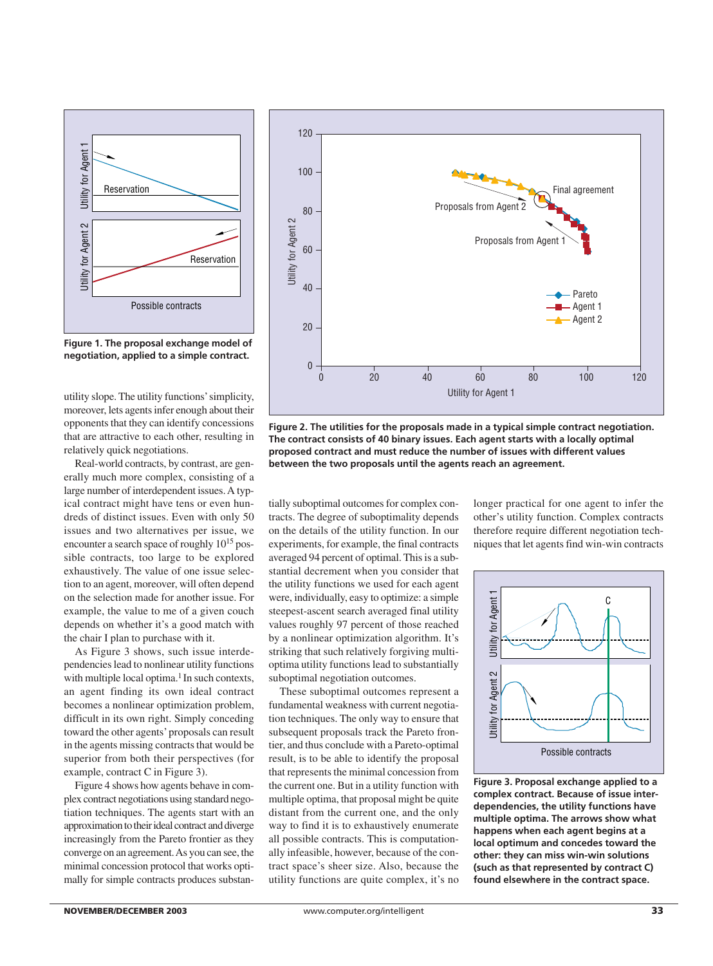

**Figure 1. The proposal exchange model of negotiation, applied to a simple contract.**

utility slope. The utility functions'simplicity, moreover, lets agents infer enough about their opponents that they can identify concessions that are attractive to each other, resulting in relatively quick negotiations.

Real-world contracts, by contrast, are generally much more complex, consisting of a large number of interdependent issues. A typical contract might have tens or even hundreds of distinct issues. Even with only 50 issues and two alternatives per issue, we encounter a search space of roughly  $10^{15}$  possible contracts, too large to be explored exhaustively. The value of one issue selection to an agent, moreover, will often depend on the selection made for another issue. For example, the value to me of a given couch depends on whether it's a good match with the chair I plan to purchase with it.

As Figure 3 shows, such issue interdependencies lead to nonlinear utility functions with multiple local optima.<sup>1</sup> In such contexts, an agent finding its own ideal contract becomes a nonlinear optimization problem, difficult in its own right. Simply conceding toward the other agents'proposals can result in the agents missing contracts that would be superior from both their perspectives (for example, contract C in Figure 3).

Figure 4 shows how agents behave in complex contract negotiations using standard negotiation techniques. The agents start with an approximation to their ideal contract and diverge increasingly from the Pareto frontier as they converge on an agreement. As you can see, the minimal concession protocol that works optimally for simple contracts produces substan-



**Figure 2. The utilities for the proposals made in a typical simple contract negotiation. The contract consists of 40 binary issues. Each agent starts with a locally optimal proposed contract and must reduce the number of issues with different values between the two proposals until the agents reach an agreement.**

tially suboptimal outcomes for complex contracts. The degree of suboptimality depends on the details of the utility function. In our experiments, for example, the final contracts averaged 94 percent of optimal. This is a substantial decrement when you consider that the utility functions we used for each agent were, individually, easy to optimize: a simple steepest-ascent search averaged final utility values roughly 97 percent of those reached by a nonlinear optimization algorithm. It's striking that such relatively forgiving multioptima utility functions lead to substantially suboptimal negotiation outcomes.

These suboptimal outcomes represent a fundamental weakness with current negotiation techniques. The only way to ensure that subsequent proposals track the Pareto frontier, and thus conclude with a Pareto-optimal result, is to be able to identify the proposal that represents the minimal concession from the current one. But in a utility function with multiple optima, that proposal might be quite distant from the current one, and the only way to find it is to exhaustively enumerate all possible contracts. This is computationally infeasible, however, because of the contract space's sheer size. Also, because the utility functions are quite complex, it's no longer practical for one agent to infer the other's utility function. Complex contracts therefore require different negotiation techniques that let agents find win-win contracts



**Figure 3. Proposal exchange applied to a complex contract. Because of issue interdependencies, the utility functions have multiple optima. The arrows show what happens when each agent begins at a local optimum and concedes toward the other: they can miss win-win solutions (such as that represented by contract C) found elsewhere in the contract space.**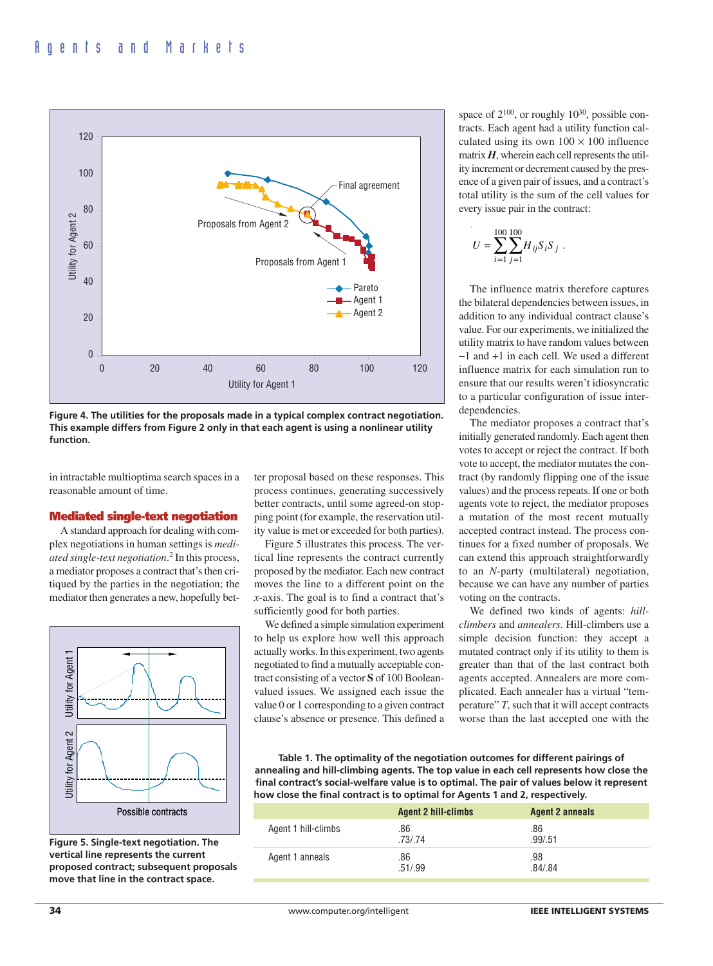

**Figure 4. The utilities for the proposals made in a typical complex contract negotiation. This example differs from Figure 2 only in that each agent is using a nonlinear utility function.**

in intractable multioptima search spaces in a reasonable amount of time.

## **Mediated single-text negotiation**

A standard approach for dealing with complex negotiations in human settings is *mediated single-text negotiation*. <sup>2</sup> In this process, a mediator proposes a contract that's then critiqued by the parties in the negotiation; the mediator then generates a new, hopefully bet-



**Figure 5. Single-text negotiation. The vertical line represents the current proposed contract; subsequent proposals move that line in the contract space.**

ter proposal based on these responses. This process continues, generating successively better contracts, until some agreed-on stopping point (for example, the reservation utility value is met or exceeded for both parties).

Figure 5 illustrates this process. The vertical line represents the contract currently proposed by the mediator. Each new contract moves the line to a different point on the *x*-axis. The goal is to find a contract that's sufficiently good for both parties.

We defined a simple simulation experiment to help us explore how well this approach actually works. In this experiment, two agents negotiated to find a mutually acceptable contract consisting of a vector **S** of 100 Booleanvalued issues. We assigned each issue the value 0 or 1 corresponding to a given contract clause's absence or presence. This defined a

space of  $2^{100}$ , or roughly  $10^{30}$ , possible contracts. Each agent had a utility function calculated using its own  $100 \times 100$  influence matrix  $H$ , wherein each cell represents the utility increment or decrement caused by the presence of a given pair of issues, and a contract's total utility is the sum of the cell values for every issue pair in the contract:

$$
U = \sum_{i=1}^{100} \sum_{j=1}^{100} H_{ij} S_i S_j .
$$

The influence matrix therefore captures the bilateral dependencies between issues, in addition to any individual contract clause's value. For our experiments, we initialized the utility matrix to have random values between −1 and +1 in each cell. We used a different influence matrix for each simulation run to ensure that our results weren't idiosyncratic to a particular configuration of issue interdependencies.

The mediator proposes a contract that's initially generated randomly. Each agent then votes to accept or reject the contract. If both vote to accept, the mediator mutates the contract (by randomly flipping one of the issue values) and the process repeats. If one or both agents vote to reject, the mediator proposes a mutation of the most recent mutually accepted contract instead. The process continues for a fixed number of proposals. We can extend this approach straightforwardly to an *N*-party (multilateral) negotiation, because we can have any number of parties voting on the contracts.

We defined two kinds of agents: *hillclimbers* and *annealers*. Hill-climbers use a simple decision function: they accept a mutated contract only if its utility to them is greater than that of the last contract both agents accepted. Annealers are more complicated. Each annealer has a virtual "temperature" *T*, such that it will accept contracts worse than the last accepted one with the

**Table 1. The optimality of the negotiation outcomes for different pairings of annealing and hill-climbing agents. The top value in each cell represents how close the final contract's social-welfare value is to optimal. The pair of values below it represent how close the final contract is to optimal for Agents 1 and 2, respectively.**

|                     | <b>Agent 2 hill-climbs</b> | <b>Agent 2 anneals</b> |
|---------------------|----------------------------|------------------------|
| Agent 1 hill-climbs | .86<br>.73/.74             | .86<br>.99/0.51        |
| Agent 1 anneals     | .86<br>.51/.99             | .98<br>.84/0.84        |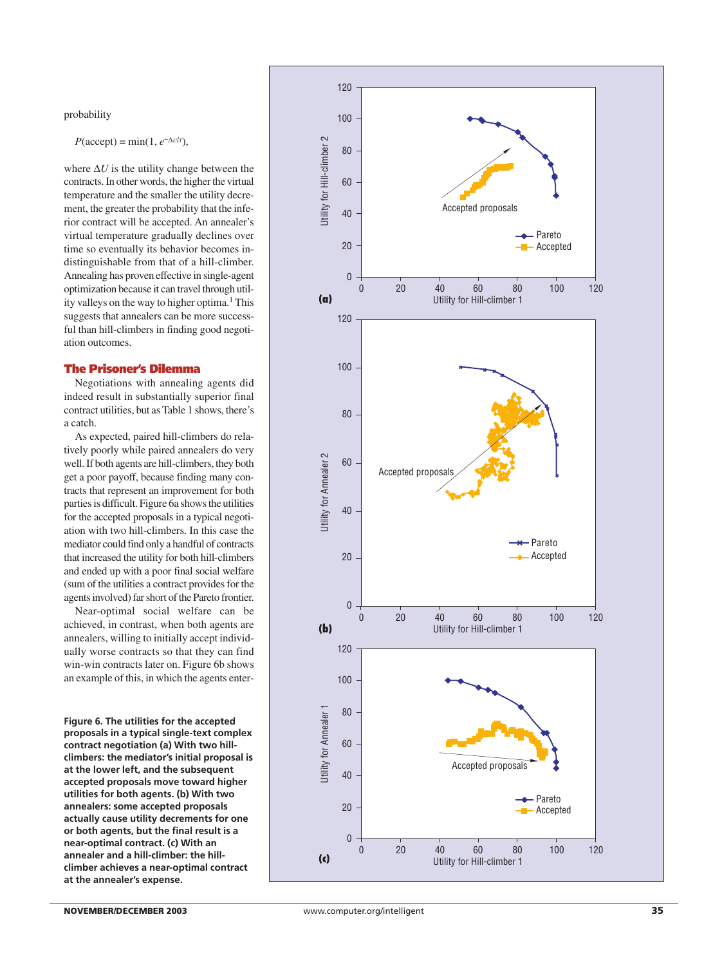probability

 $P(\text{accept}) = \min(1, e^{-\Delta U/T}),$ 

where ∆*U* is the utility change between the contracts. In other words, the higher the virtual temperature and the smaller the utility decrement, the greater the probability that the inferior contract will be accepted. An annealer's virtual temperature gradually declines over time so eventually its behavior becomes indistinguishable from that of a hill-climber. Annealing has proven effective in single-agent optimization because it can travel through utility valleys on the way to higher optima.<sup>1</sup> This suggests that annealers can be more successful than hill-climbers in finding good negotiation outcomes.

## **The Prisoner's Dilemma**

Negotiations with annealing agents did indeed result in substantially superior final contract utilities, but as Table 1 shows, there's a catch.

As expected, paired hill-climbers do relatively poorly while paired annealers do very well. If both agents are hill-climbers, they both get a poor payoff, because finding many contracts that represent an improvement for both parties is difficult. Figure 6a shows the utilities for the accepted proposals in a typical negotiation with two hill-climbers. In this case the mediator could find only a handful of contracts that increased the utility for both hill-climbers and ended up with a poor final social welfare (sum of the utilities a contract provides for the agents involved) far short of the Pareto frontier.

Near-optimal social welfare can be achieved, in contrast, when both agents are annealers, willing to initially accept individually worse contracts so that they can find win-win contracts later on. Figure 6b shows an example of this, in which the agents enter-

**Figure 6. The utilities for the accepted proposals in a typical single-text complex contract negotiation (a) With two hillclimbers: the mediator's initial proposal is at the lower left, and the subsequent accepted proposals move toward higher utilities for both agents. (b) With two annealers: some accepted proposals actually cause utility decrements for one or both agents, but the final result is a near-optimal contract. (c) With an annealer and a hill-climber: the hillclimber achieves a near-optimal contract at the annealer's expense.**

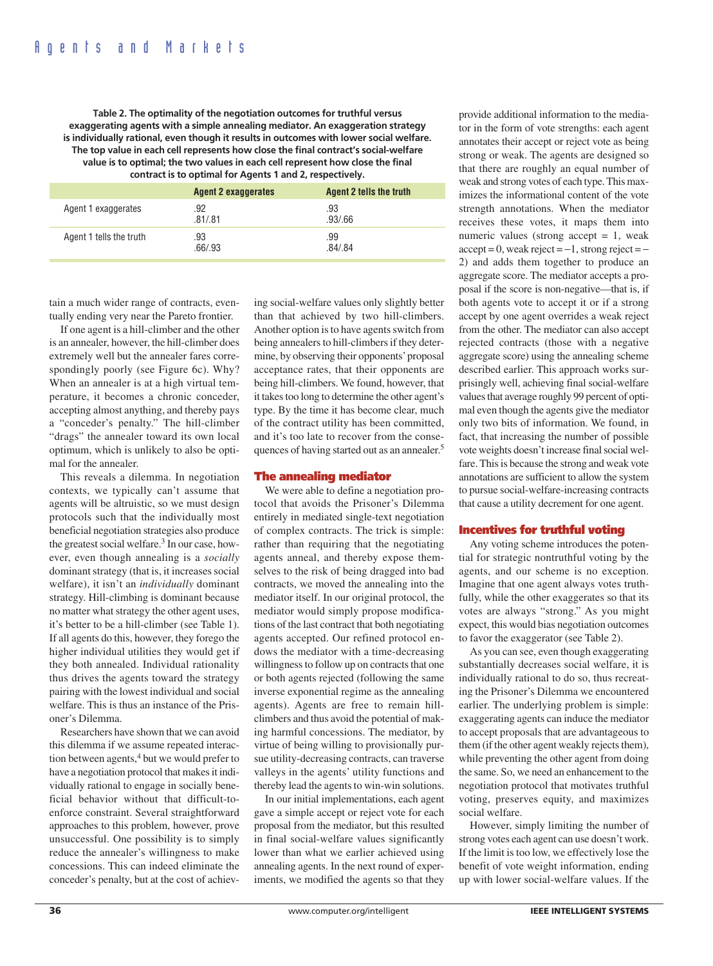**Table 2. The optimality of the negotiation outcomes for truthful versus exaggerating agents with a simple annealing mediator. An exaggeration strategy is individually rational, even though it results in outcomes with lower social welfare. The top value in each cell represents how close the final contract's social-welfare value is to optimal; the two values in each cell represent how close the final contract is to optimal for Agents 1 and 2, respectively.**

|                         | <b>Agent 2 exaggerates</b> | <b>Agent 2 tells the truth</b> |
|-------------------------|----------------------------|--------------------------------|
| Agent 1 exaggerates     | .92<br>.81/.81             | .93<br>.93/66                  |
| Agent 1 tells the truth | .93<br>.66/.93             | .99<br>.84/0.84                |

tain a much wider range of contracts, eventually ending very near the Pareto frontier.

If one agent is a hill-climber and the other is an annealer, however, the hill-climber does extremely well but the annealer fares correspondingly poorly (see Figure 6c). Why? When an annealer is at a high virtual temperature, it becomes a chronic conceder, accepting almost anything, and thereby pays a "conceder's penalty." The hill-climber "drags" the annealer toward its own local optimum, which is unlikely to also be optimal for the annealer.

This reveals a dilemma. In negotiation contexts, we typically can't assume that agents will be altruistic, so we must design protocols such that the individually most beneficial negotiation strategies also produce the greatest social welfare.<sup>3</sup> In our case, however, even though annealing is a *socially* dominant strategy (that is, it increases social welfare), it isn't an *individually* dominant strategy. Hill-climbing is dominant because no matter what strategy the other agent uses, it's better to be a hill-climber (see Table 1). If all agents do this, however, they forego the higher individual utilities they would get if they both annealed. Individual rationality thus drives the agents toward the strategy pairing with the lowest individual and social welfare. This is thus an instance of the Prisoner's Dilemma.

Researchers have shown that we can avoid this dilemma if we assume repeated interaction between agents,<sup>4</sup> but we would prefer to have a negotiation protocol that makes it individually rational to engage in socially beneficial behavior without that difficult-toenforce constraint. Several straightforward approaches to this problem, however, prove unsuccessful. One possibility is to simply reduce the annealer's willingness to make concessions. This can indeed eliminate the conceder's penalty, but at the cost of achiev-

ing social-welfare values only slightly better than that achieved by two hill-climbers. Another option is to have agents switch from being annealers to hill-climbers if they determine, by observing their opponents'proposal acceptance rates, that their opponents are being hill-climbers. We found, however, that it takes too long to determine the other agent's type. By the time it has become clear, much of the contract utility has been committed, and it's too late to recover from the consequences of having started out as an annealer.<sup>5</sup>

#### **The annealing mediator**

We were able to define a negotiation protocol that avoids the Prisoner's Dilemma entirely in mediated single-text negotiation of complex contracts. The trick is simple: rather than requiring that the negotiating agents anneal, and thereby expose themselves to the risk of being dragged into bad contracts, we moved the annealing into the mediator itself. In our original protocol, the mediator would simply propose modifications of the last contract that both negotiating agents accepted. Our refined protocol endows the mediator with a time-decreasing willingness to follow up on contracts that one or both agents rejected (following the same inverse exponential regime as the annealing agents). Agents are free to remain hillclimbers and thus avoid the potential of making harmful concessions. The mediator, by virtue of being willing to provisionally pursue utility-decreasing contracts, can traverse valleys in the agents' utility functions and thereby lead the agents to win-win solutions.

In our initial implementations, each agent gave a simple accept or reject vote for each proposal from the mediator, but this resulted in final social-welfare values significantly lower than what we earlier achieved using annealing agents. In the next round of experiments, we modified the agents so that they

provide additional information to the mediator in the form of vote strengths: each agent annotates their accept or reject vote as being strong or weak. The agents are designed so that there are roughly an equal number of weak and strong votes of each type. This maximizes the informational content of the vote strength annotations. When the mediator receives these votes, it maps them into numeric values (strong accept  $= 1$ , weak  $accept = 0$ , weak reject =  $-1$ , strong reject =  $-$ 2) and adds them together to produce an aggregate score. The mediator accepts a proposal if the score is non-negative—that is, if both agents vote to accept it or if a strong accept by one agent overrides a weak reject from the other. The mediator can also accept rejected contracts (those with a negative aggregate score) using the annealing scheme described earlier. This approach works surprisingly well, achieving final social-welfare values that average roughly 99 percent of optimal even though the agents give the mediator only two bits of information. We found, in fact, that increasing the number of possible vote weights doesn't increase final social welfare. This is because the strong and weak vote annotations are sufficient to allow the system to pursue social-welfare-increasing contracts that cause a utility decrement for one agent.

#### **Incentives for truthful voting**

Any voting scheme introduces the potential for strategic nontruthful voting by the agents, and our scheme is no exception. Imagine that one agent always votes truthfully, while the other exaggerates so that its votes are always "strong." As you might expect, this would bias negotiation outcomes to favor the exaggerator (see Table 2).

As you can see, even though exaggerating substantially decreases social welfare, it is individually rational to do so, thus recreating the Prisoner's Dilemma we encountered earlier. The underlying problem is simple: exaggerating agents can induce the mediator to accept proposals that are advantageous to them (if the other agent weakly rejects them), while preventing the other agent from doing the same. So, we need an enhancement to the negotiation protocol that motivates truthful voting, preserves equity, and maximizes social welfare.

However, simply limiting the number of strong votes each agent can use doesn't work. If the limit is too low, we effectively lose the benefit of vote weight information, ending up with lower social-welfare values. If the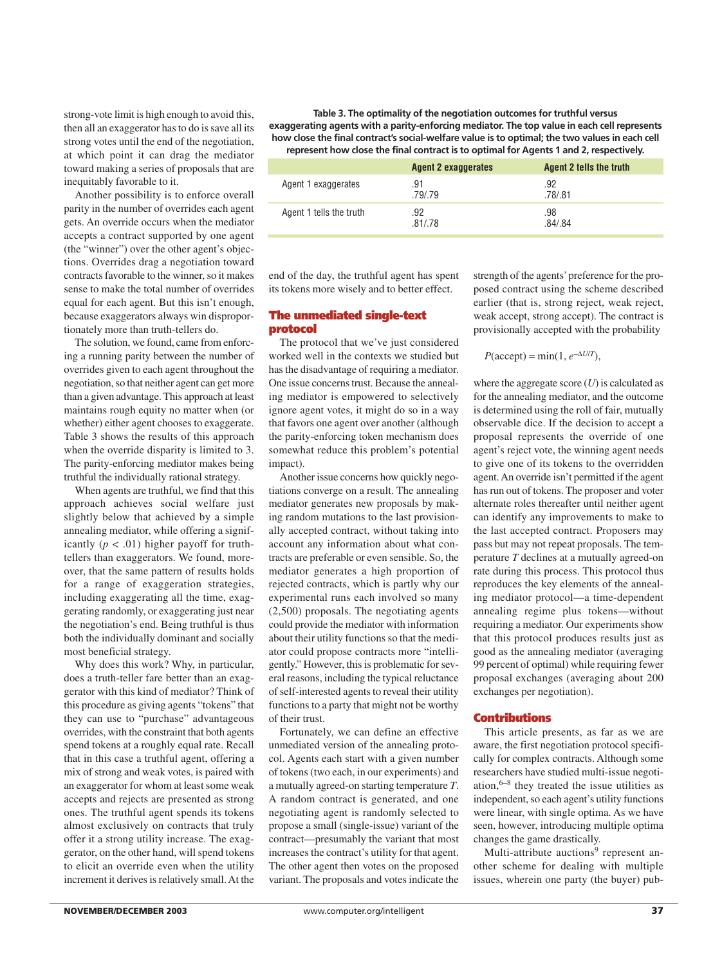strong-vote limit is high enough to avoid this, then all an exaggerator has to do is save all its strong votes until the end of the negotiation, at which point it can drag the mediator toward making a series of proposals that are inequitably favorable to it.

Another possibility is to enforce overall parity in the number of overrides each agent gets. An override occurs when the mediator accepts a contract supported by one agent (the "winner") over the other agent's objections. Overrides drag a negotiation toward contracts favorable to the winner, so it makes sense to make the total number of overrides equal for each agent. But this isn't enough, because exaggerators always win disproportionately more than truth-tellers do.

The solution, we found, came from enforcing a running parity between the number of overrides given to each agent throughout the negotiation, so that neither agent can get more than a given advantage. This approach at least maintains rough equity no matter when (or whether) either agent chooses to exaggerate. Table 3 shows the results of this approach when the override disparity is limited to 3. The parity-enforcing mediator makes being truthful the individually rational strategy.

When agents are truthful, we find that this approach achieves social welfare just slightly below that achieved by a simple annealing mediator, while offering a significantly  $(p < .01)$  higher payoff for truthtellers than exaggerators. We found, moreover, that the same pattern of results holds for a range of exaggeration strategies, including exaggerating all the time, exaggerating randomly, or exaggerating just near the negotiation's end. Being truthful is thus both the individually dominant and socially most beneficial strategy.

Why does this work? Why, in particular, does a truth-teller fare better than an exaggerator with this kind of mediator? Think of this procedure as giving agents "tokens" that they can use to "purchase" advantageous overrides, with the constraint that both agents spend tokens at a roughly equal rate. Recall that in this case a truthful agent, offering a mix of strong and weak votes, is paired with an exaggerator for whom at least some weak accepts and rejects are presented as strong ones. The truthful agent spends its tokens almost exclusively on contracts that truly offer it a strong utility increase. The exaggerator, on the other hand, will spend tokens to elicit an override even when the utility increment it derives is relatively small. At the

**Table 3. The optimality of the negotiation outcomes for truthful versus exaggerating agents with a parity-enforcing mediator. The top value in each cell represents how close the final contract's social-welfare value is to optimal; the two values in each cell represent how close the final contract is to optimal for Agents 1 and 2, respectively.** 

|                         | <b>Agent 2 exaggerates</b> | <b>Agent 2 tells the truth</b> |
|-------------------------|----------------------------|--------------------------------|
| Agent 1 exaggerates     | .91<br>.79/.79             | .92<br>.78/.81                 |
| Agent 1 tells the truth | .92<br>.81 / .78           | .98<br>.84/0.84                |

end of the day, the truthful agent has spent its tokens more wisely and to better effect.

## **The unmediated single-text protocol**

The protocol that we've just considered worked well in the contexts we studied but has the disadvantage of requiring a mediator. One issue concerns trust. Because the annealing mediator is empowered to selectively ignore agent votes, it might do so in a way that favors one agent over another (although the parity-enforcing token mechanism does somewhat reduce this problem's potential impact).

Another issue concerns how quickly negotiations converge on a result. The annealing mediator generates new proposals by making random mutations to the last provisionally accepted contract, without taking into account any information about what contracts are preferable or even sensible. So, the mediator generates a high proportion of rejected contracts, which is partly why our experimental runs each involved so many (2,500) proposals. The negotiating agents could provide the mediator with information about their utility functions so that the mediator could propose contracts more "intelligently." However, this is problematic for several reasons, including the typical reluctance of self-interested agents to reveal their utility functions to a party that might not be worthy of their trust.

Fortunately, we can define an effective unmediated version of the annealing protocol. Agents each start with a given number of tokens (two each, in our experiments) and a mutually agreed-on starting temperature *T*. A random contract is generated, and one negotiating agent is randomly selected to propose a small (single-issue) variant of the contract—presumably the variant that most increases the contract's utility for that agent. The other agent then votes on the proposed variant. The proposals and votes indicate the

strength of the agents'preference for the proposed contract using the scheme described earlier (that is, strong reject, weak reject, weak accept, strong accept). The contract is provisionally accepted with the probability

$$
P(\text{accept}) = \min(1, e^{-\Delta U/T}),
$$

where the aggregate score (*U*) is calculated as for the annealing mediator, and the outcome is determined using the roll of fair, mutually observable dice. If the decision to accept a proposal represents the override of one agent's reject vote, the winning agent needs to give one of its tokens to the overridden agent. An override isn't permitted if the agent has run out of tokens. The proposer and voter alternate roles thereafter until neither agent can identify any improvements to make to the last accepted contract. Proposers may pass but may not repeat proposals. The temperature *T* declines at a mutually agreed-on rate during this process. This protocol thus reproduces the key elements of the annealing mediator protocol—a time-dependent annealing regime plus tokens—without requiring a mediator. Our experiments show that this protocol produces results just as good as the annealing mediator (averaging 99 percent of optimal) while requiring fewer proposal exchanges (averaging about 200 exchanges per negotiation).

## **Contributions**

This article presents, as far as we are aware, the first negotiation protocol specifically for complex contracts. Although some researchers have studied multi-issue negotiation, $6-8$  they treated the issue utilities as independent, so each agent's utility functions were linear, with single optima. As we have seen, however, introducing multiple optima changes the game drastically.

Multi-attribute auctions<sup>9</sup> represent another scheme for dealing with multiple issues, wherein one party (the buyer) pub-